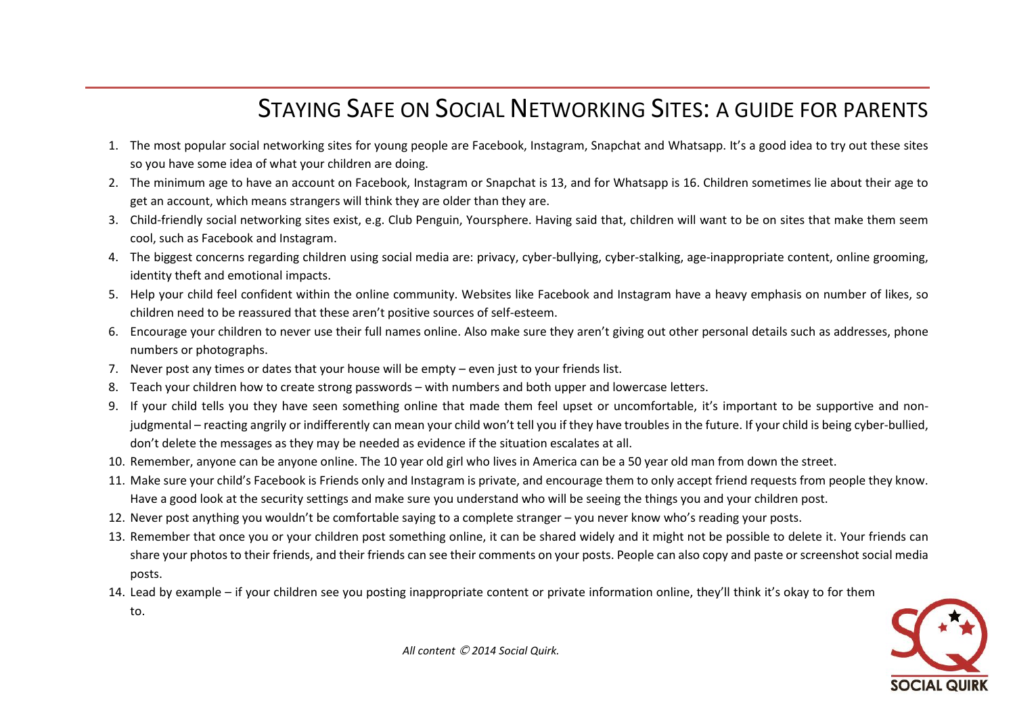## STAYING SAFE ON SOCIAL NETWORKING SITES: A GUIDE FOR PARENTS

- 1. The most popular social networking sites for young people are Facebook, Instagram, Snapchat and Whatsapp. It's a good idea to try out these sites so you have some idea of what your children are doing.
- 2. The minimum age to have an account on Facebook, Instagram or Snapchat is 13, and for Whatsapp is 16. Children sometimes lie about their age to get an account, which means strangers will think they are older than they are.
- 3. Child-friendly social networking sites exist, e.g. Club Penguin, Yoursphere. Having said that, children will want to be on sites that make them seem cool, such as Facebook and Instagram.
- 4. The biggest concerns regarding children using social media are: privacy, cyber-bullying, cyber-stalking, age-inappropriate content, online grooming, identity theft and emotional impacts.
- 5. Help your child feel confident within the online community. Websites like Facebook and Instagram have a heavy emphasis on number of likes, so children need to be reassured that these aren't positive sources of self-esteem.
- 6. Encourage your children to never use their full names online. Also make sure they aren't giving out other personal details such as addresses, phone numbers or photographs.
- 7. Never post any times or dates that your house will be empty even just to your friends list.
- 8. Teach your children how to create strong passwords with numbers and both upper and lowercase letters.
- 9. If your child tells you they have seen something online that made them feel upset or uncomfortable, it's important to be supportive and nonjudgmental – reacting angrily or indifferently can mean your child won't tell you if they have troubles in the future. If your child is being cyber-bullied, don't delete the messages as they may be needed as evidence if the situation escalates at all.
- 10. Remember, anyone can be anyone online. The 10 year old girl who lives in America can be a 50 year old man from down the street.
- 11. Make sure your child's Facebook is Friends only and Instagram is private, and encourage them to only accept friend requests from people they know. Have a good look at the security settings and make sure you understand who will be seeing the things you and your children post.
- 12. Never post anything you wouldn't be comfortable saying to a complete stranger you never know who's reading your posts.
- 13. Remember that once you or your children post something online, it can be shared widely and it might not be possible to delete it. Your friends can share your photos to their friends, and their friends can see their comments on your posts. People can also copy and paste or screenshot social media posts.
- 14. Lead by example if your children see you posting inappropriate content or private information online, they'll think it's okay to for them
	- to.